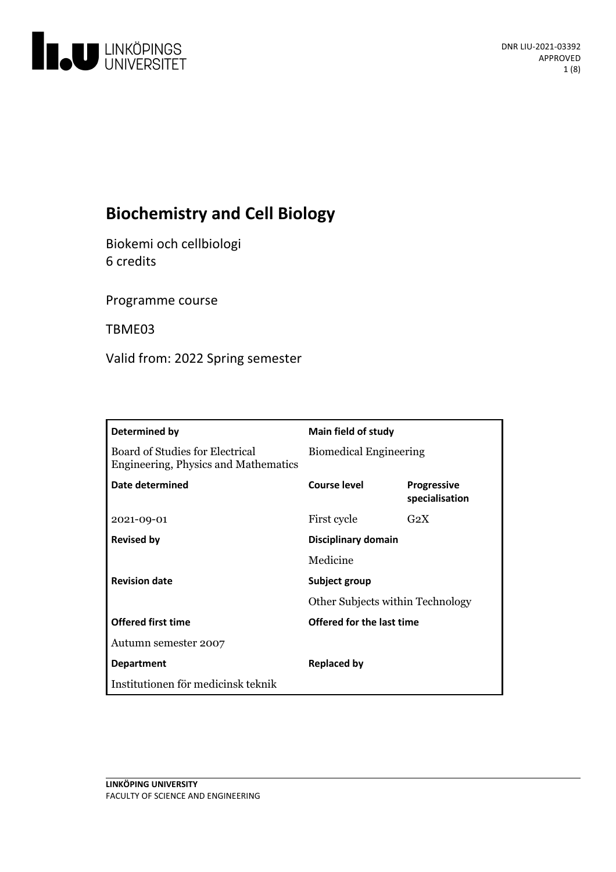

# **Biochemistry and Cell Biology**

Biokemi och cellbiologi 6 credits

Programme course

TBME03

Valid from: 2022 Spring semester

| Determined by                                                           | Main field of study                                      |                                      |
|-------------------------------------------------------------------------|----------------------------------------------------------|--------------------------------------|
| Board of Studies for Electrical<br>Engineering, Physics and Mathematics | <b>Biomedical Engineering</b>                            |                                      |
| Date determined                                                         | Course level                                             | <b>Progressive</b><br>specialisation |
| 2021-09-01                                                              | First cycle                                              | G <sub>2</sub> X                     |
| <b>Revised by</b>                                                       | Disciplinary domain                                      |                                      |
|                                                                         | Medicine                                                 |                                      |
| <b>Revision date</b>                                                    | Subject group<br><b>Other Subjects within Technology</b> |                                      |
|                                                                         |                                                          |                                      |
| <b>Offered first time</b>                                               | Offered for the last time                                |                                      |
| Autumn semester 2007                                                    |                                                          |                                      |
| <b>Department</b>                                                       | <b>Replaced by</b>                                       |                                      |
| Institutionen för medicinsk teknik                                      |                                                          |                                      |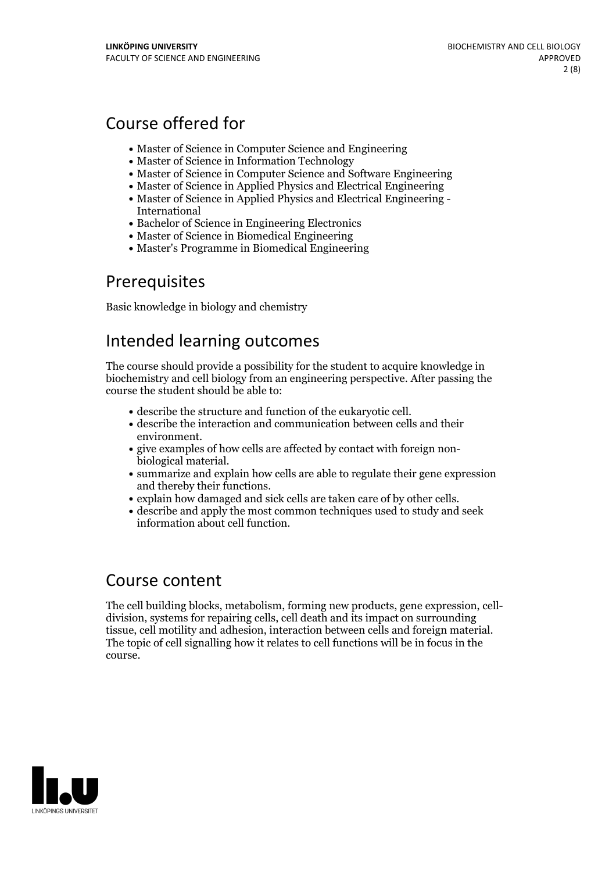# Course offered for

- Master of Science in Computer Science and Engineering
- Master of Science in Information Technology
- Master of Science in Computer Science and Software Engineering
- Master of Science in Applied Physics and Electrical Engineering
- Master of Science in Applied Physics and Electrical Engineering International
- Bachelor of Science in Engineering Electronics
- Master of Science in Biomedical Engineering
- Master's Programme in Biomedical Engineering

## Prerequisites

Basic knowledge in biology and chemistry

## Intended learning outcomes

The course should provide a possibility for the student to acquire knowledge in biochemistry and cell biology from an engineering perspective. After passing the course the student should be able to:

- 
- $\bullet$  describe the structure and function of the eukaryotic cell. <br>  $\bullet$  describe the interaction and communication between cells and their
- environment.<br>
 give examples of how cells are affected by contact with foreign non-<br>
biological material.<br>
 summarize and explain how cells are able to regulate their gene expression
- 
- and thereby their functions.<br>
 explain how damaged and sick cells are taken care of by other cells.<br>
 describe and apply the most common techniques used to study and seek
- information about cell function.

## Course content

The cell building blocks, metabolism, forming new products, gene expression, cell- division, systems for repairing cells, cell death and its impact on surrounding tissue, cell motility and adhesion, interaction between cells and foreign material. The topic of cell signalling how it relates to cell functions will be in focus in the course.

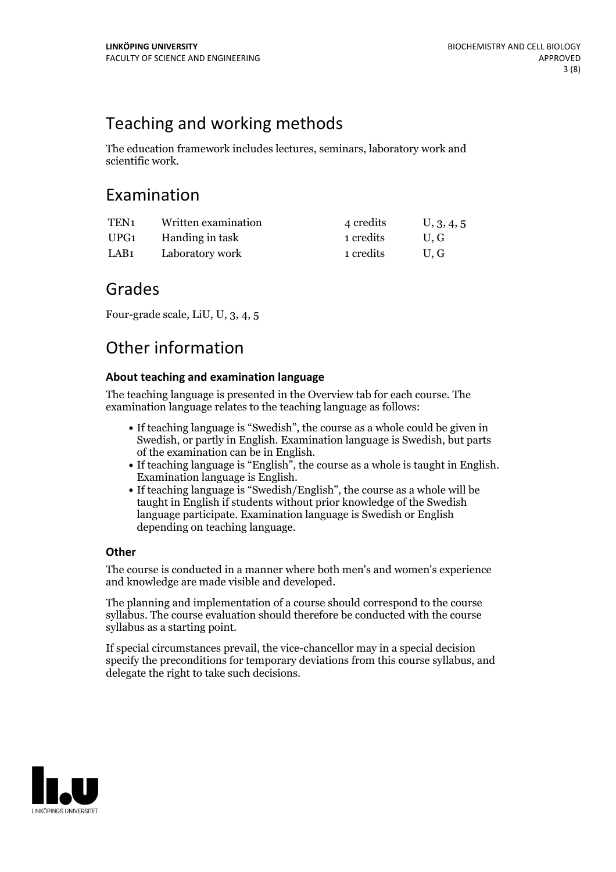# Teaching and working methods

The education framework includes lectures, seminars, laboratory work and scientific work.

## Examination

| TEN <sub>1</sub> | Written examination | 4 credits | U, 3, 4, 5 |
|------------------|---------------------|-----------|------------|
| UPG1             | Handing in task     | 1 credits | U.G        |
| LAB1             | Laboratory work     | 1 credits | U.G        |

## Grades

Four-grade scale, LiU, U, 3, 4, 5

## Other information

### **About teaching and examination language**

The teaching language is presented in the Overview tab for each course. The examination language relates to the teaching language as follows:

- If teaching language is "Swedish", the course as a whole could be given in Swedish, or partly in English. Examination language is Swedish, but parts
- of the examination can be in English.<br>• If teaching language is "English", the course as a whole is taught in English.
- Examination language is English.<br>• If teaching language is "Swedish/English", the course as a whole will be taught in English if students without prior knowledge of the Swedish language participate. Examination language is Swedish or English depending on teaching language.

### **Other**

The course is conducted in a manner where both men's and women's experience and knowledge are made visible and developed.

The planning and implementation of a course should correspond to the course syllabus. The course evaluation should therefore be conducted with the course syllabus as a starting point.

If special circumstances prevail, the vice-chancellor may in a special decision specify the preconditions for temporary deviations from this course syllabus, and delegate the right to take such decisions.

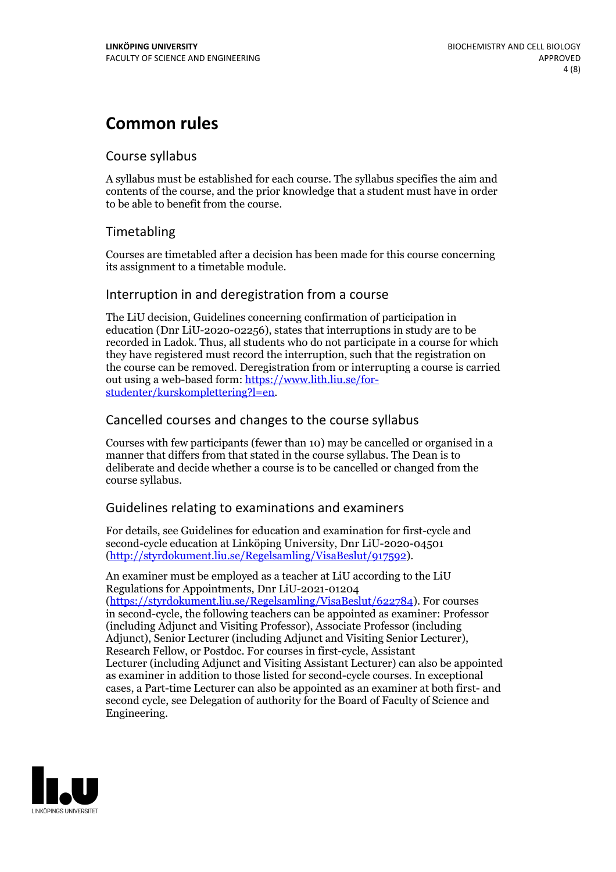# **Common rules**

### Course syllabus

A syllabus must be established for each course. The syllabus specifies the aim and contents of the course, and the prior knowledge that a student must have in order to be able to benefit from the course.

## Timetabling

Courses are timetabled after a decision has been made for this course concerning its assignment to a timetable module.

### Interruption in and deregistration from a course

The LiU decision, Guidelines concerning confirmation of participation in education (Dnr LiU-2020-02256), states that interruptions in study are to be recorded in Ladok. Thus, all students who do not participate in a course for which they have registered must record the interruption, such that the registration on the course can be removed. Deregistration from or interrupting a course is carried out using <sup>a</sup> web-based form: https://www.lith.liu.se/for- [studenter/kurskomplettering?l=en.](https://www.lith.liu.se/for-studenter/kurskomplettering?l=en)

## Cancelled courses and changes to the course syllabus

Courses with few participants (fewer than 10) may be cancelled or organised in a manner that differs from that stated in the course syllabus. The Dean is to deliberate and decide whether a course is to be cancelled or changed from the course syllabus.

## Guidelines relating to examinations and examiners

For details, see Guidelines for education and examination for first-cycle and second-cycle education at Linköping University, Dnr LiU-2020-04501 [\(http://styrdokument.liu.se/Regelsamling/VisaBeslut/917592\)](http://styrdokument.liu.se/Regelsamling/VisaBeslut/917592).

An examiner must be employed as a teacher at LiU according to the LiU Regulations for Appointments, Dnr LiU-2021-01204 [\(https://styrdokument.liu.se/Regelsamling/VisaBeslut/622784](https://styrdokument.liu.se/Regelsamling/VisaBeslut/622784)). For courses in second-cycle, the following teachers can be appointed as examiner: Professor (including Adjunct and Visiting Professor), Associate Professor (including Adjunct), Senior Lecturer (including Adjunct and Visiting Senior Lecturer), Research Fellow, or Postdoc. For courses in first-cycle, Assistant Lecturer (including Adjunct and Visiting Assistant Lecturer) can also be appointed as examiner in addition to those listed for second-cycle courses. In exceptional cases, a Part-time Lecturer can also be appointed as an examiner at both first- and second cycle, see Delegation of authority for the Board of Faculty of Science and Engineering.

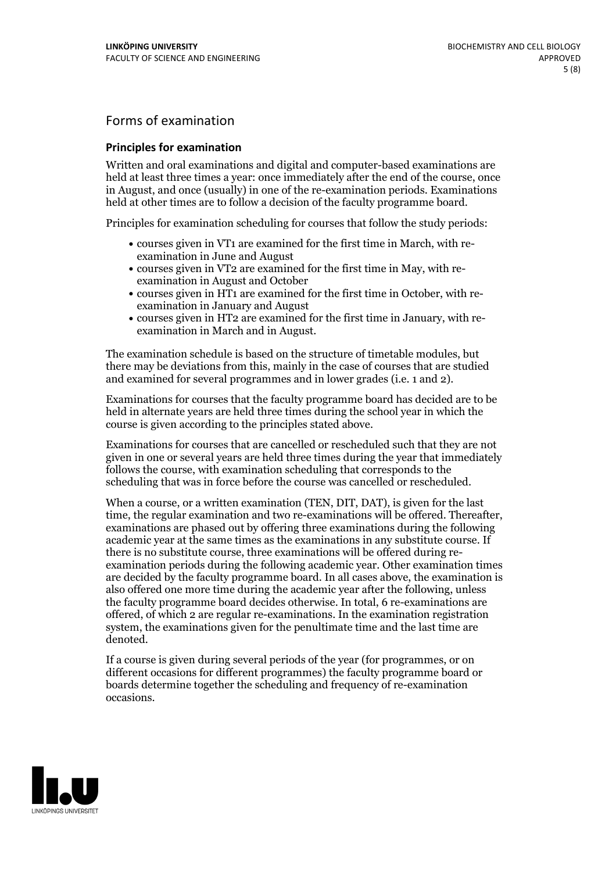## Forms of examination

#### **Principles for examination**

Written and oral examinations and digital and computer-based examinations are held at least three times a year: once immediately after the end of the course, once in August, and once (usually) in one of the re-examination periods. Examinations held at other times are to follow a decision of the faculty programme board.

Principles for examination scheduling for courses that follow the study periods:

- courses given in VT1 are examined for the first time in March, with re-examination in June and August
- courses given in VT2 are examined for the first time in May, with re-examination in August and October
- courses given in HT1 are examined for the first time in October, with re-examination in January and August
- courses given in HT2 are examined for the first time in January, with re-examination in March and in August.

The examination schedule is based on the structure of timetable modules, but there may be deviations from this, mainly in the case of courses that are studied and examined for several programmes and in lower grades (i.e. 1 and 2).

Examinations for courses that the faculty programme board has decided are to be held in alternate years are held three times during the school year in which the course is given according to the principles stated above.

Examinations for courses that are cancelled orrescheduled such that they are not given in one or several years are held three times during the year that immediately follows the course, with examination scheduling that corresponds to the scheduling that was in force before the course was cancelled or rescheduled.

When a course, or a written examination (TEN, DIT, DAT), is given for the last time, the regular examination and two re-examinations will be offered. Thereafter, examinations are phased out by offering three examinations during the following academic year at the same times as the examinations in any substitute course. If there is no substitute course, three examinations will be offered during re- examination periods during the following academic year. Other examination times are decided by the faculty programme board. In all cases above, the examination is also offered one more time during the academic year after the following, unless the faculty programme board decides otherwise. In total, 6 re-examinations are offered, of which 2 are regular re-examinations. In the examination registration system, the examinations given for the penultimate time and the last time are denoted.

If a course is given during several periods of the year (for programmes, or on different occasions for different programmes) the faculty programme board or boards determine together the scheduling and frequency of re-examination occasions.

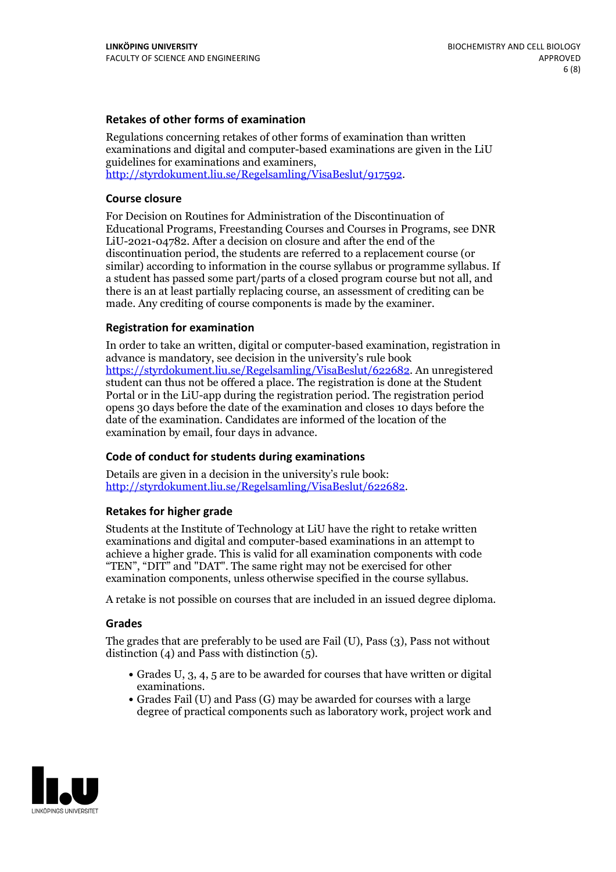#### **Retakes of other forms of examination**

Regulations concerning retakes of other forms of examination than written examinations and digital and computer-based examinations are given in the LiU guidelines for examinations and examiners, [http://styrdokument.liu.se/Regelsamling/VisaBeslut/917592.](http://styrdokument.liu.se/Regelsamling/VisaBeslut/917592)

#### **Course closure**

For Decision on Routines for Administration of the Discontinuation of Educational Programs, Freestanding Courses and Courses in Programs, see DNR LiU-2021-04782. After a decision on closure and after the end of the discontinuation period, the students are referred to a replacement course (or similar) according to information in the course syllabus or programme syllabus. If a student has passed some part/parts of a closed program course but not all, and there is an at least partially replacing course, an assessment of crediting can be made. Any crediting of course components is made by the examiner.

#### **Registration for examination**

In order to take an written, digital or computer-based examination, registration in advance is mandatory, see decision in the university's rule book [https://styrdokument.liu.se/Regelsamling/VisaBeslut/622682.](https://styrdokument.liu.se/Regelsamling/VisaBeslut/622682) An unregistered student can thus not be offered a place. The registration is done at the Student Portal or in the LiU-app during the registration period. The registration period opens 30 days before the date of the examination and closes 10 days before the date of the examination. Candidates are informed of the location of the examination by email, four days in advance.

#### **Code of conduct for students during examinations**

Details are given in a decision in the university's rule book: <http://styrdokument.liu.se/Regelsamling/VisaBeslut/622682>.

#### **Retakes for higher grade**

Students at the Institute of Technology at LiU have the right to retake written examinations and digital and computer-based examinations in an attempt to achieve a higher grade. This is valid for all examination components with code "TEN", "DIT" and "DAT". The same right may not be exercised for other examination components, unless otherwise specified in the course syllabus.

A retake is not possible on courses that are included in an issued degree diploma.

#### **Grades**

The grades that are preferably to be used are Fail (U), Pass (3), Pass not without distinction  $(4)$  and Pass with distinction  $(5)$ .

- Grades U, 3, 4, 5 are to be awarded for courses that have written or digital examinations.<br>• Grades Fail (U) and Pass (G) may be awarded for courses with a large
- degree of practical components such as laboratory work, project work and

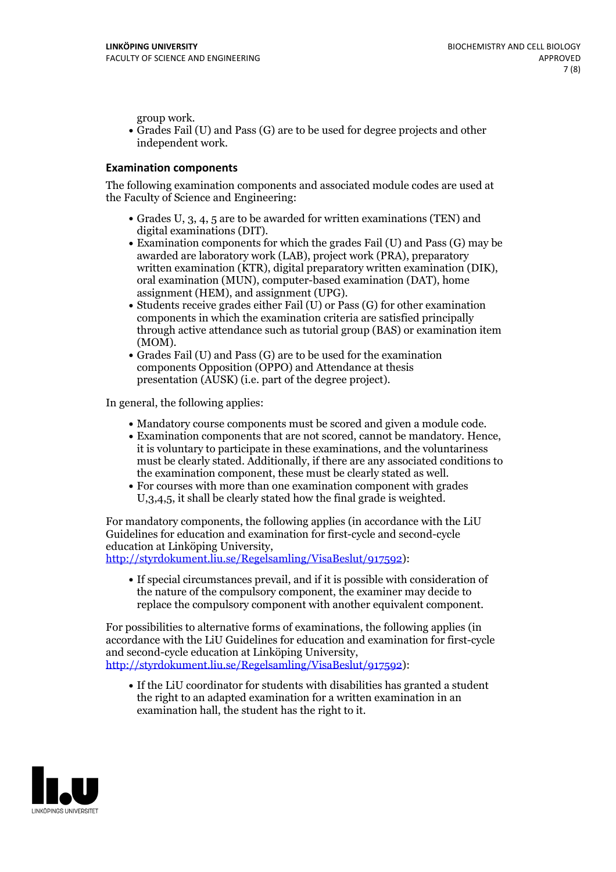group work.<br>• Grades Fail (U) and Pass (G) are to be used for degree projects and other independent work.

#### **Examination components**

The following examination components and associated module codes are used at the Faculty of Science and Engineering:

- Grades U, 3, 4, 5 are to be awarded for written examinations (TEN) and
- digital examinations (DIT).<br>• Examination components for which the grades Fail (U) and Pass (G) may be awarded are laboratory work (LAB), project work (PRA), preparatory written examination (KTR), digital preparatory written examination (DIK), oral examination (MUN), computer-based examination (DAT), home
- assignment (HEM), and assignment (UPG).<br>• Students receive grades either Fail (U) or Pass (G) for other examination components in which the examination criteria are satisfied principally through active attendance such as tutorial group (BAS) or examination item
- (MOM).<br>• Grades Fail (U) and Pass (G) are to be used for the examination components Opposition (OPPO) and Attendance at thesis presentation (AUSK) (i.e. part of the degree project).

In general, the following applies:

- 
- Mandatory course components must be scored and given <sup>a</sup> module code. Examination components that are not scored, cannot be mandatory. Hence, it is voluntary to participate in these examinations, and the voluntariness must be clearly stated. Additionally, if there are any associated conditions to
- the examination component, these must be clearly stated as well. For courses with more than one examination component with grades U,3,4,5, it shall be clearly stated how the final grade is weighted.

For mandatory components, the following applies (in accordance with the LiU Guidelines for education and examination for first-cycle and second-cycle education at Linköping University,<br>[http://styrdokument.liu.se/Regelsamling/VisaBeslut/917592\)](http://styrdokument.liu.se/Regelsamling/VisaBeslut/917592):

If special circumstances prevail, and if it is possible with consideration of the nature of the compulsory component, the examiner may decide to replace the compulsory component with another equivalent component.

For possibilities to alternative forms of examinations, the following applies (in accordance with the LiU Guidelines for education and examination for first-cycle [http://styrdokument.liu.se/Regelsamling/VisaBeslut/917592\)](http://styrdokument.liu.se/Regelsamling/VisaBeslut/917592):

If the LiU coordinator for students with disabilities has granted a student the right to an adapted examination for a written examination in an examination hall, the student has the right to it.